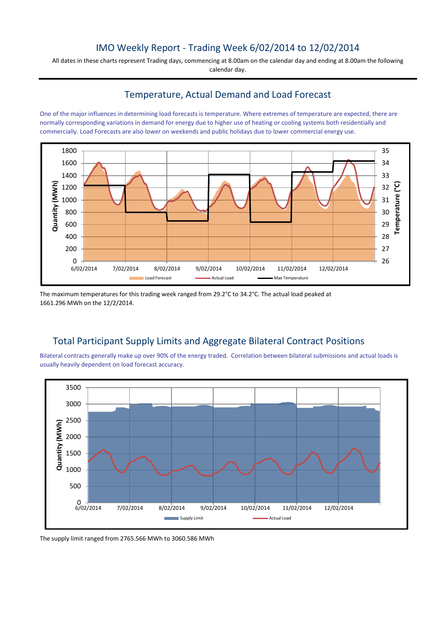## IMO Weekly Report - Trading Week 6/02/2014 to 12/02/2014

All dates in these charts represent Trading days, commencing at 8.00am on the calendar day and ending at 8.00am the following calendar day.

## Temperature, Actual Demand and Load Forecast

One of the major influences in determining load forecasts is temperature. Where extremes of temperature are expected, there are normally corresponding variations in demand for energy due to higher use of heating or cooling systems both residentially and commercially. Load Forecasts are also lower on weekends and public holidays due to lower commercial energy use.



The maximum temperatures for this trading week ranged from 29.2°C to 34.2°C. The actual load peaked at 1661.296 MWh on the 12/2/2014.

# Total Participant Supply Limits and Aggregate Bilateral Contract Positions

Bilateral contracts generally make up over 90% of the energy traded. Correlation between bilateral submissions and actual loads is usually heavily dependent on load forecast accuracy.



The supply limit ranged from 2765.566 MWh to 3060.586 MWh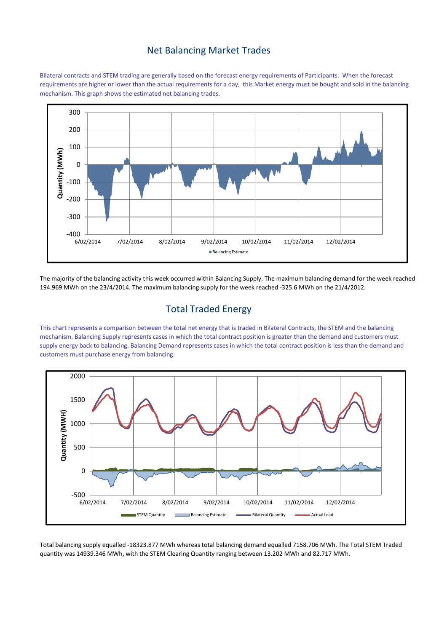#### Net Balancing Market Trades

Bilateral contracts and STEM trading are generally based on the forecast energy requirements of Participants. When the forecast requirements are higher or lower than the actual requirements for a day, this Market energy must be bought and sold in the balancing mechanism. This graph shows the estimated net balancing trades.



The majority of the balancing activity this week occurred within Balancing Supply. The maximum balancing demand for the week reached 194.969 MWh on the 23/4/2014. The maximum balancing supply for the week reached -325.6 MWh on the 21/4/2012.

# Total Traded Energy

This chart represents a comparison between the total net energy that is traded in Bilateral Contracts, the STEM and the balancing mechanism. Balancing Supply represents cases in which the total contract position is greater than the demand and customers must supply energy back to balancing. Balancing Demand represents cases in which the total contract position is less than the demand and customers must purchase energy from balancing.



Total balancing supply equalled -18323.877 MWh whereas total balancing demand equalled 7158.706 MWh. The Total STEM Traded quantity was 14939.346 MWh, with the STEM Clearing Quantity ranging between 13.202 MWh and 82.717 MWh.